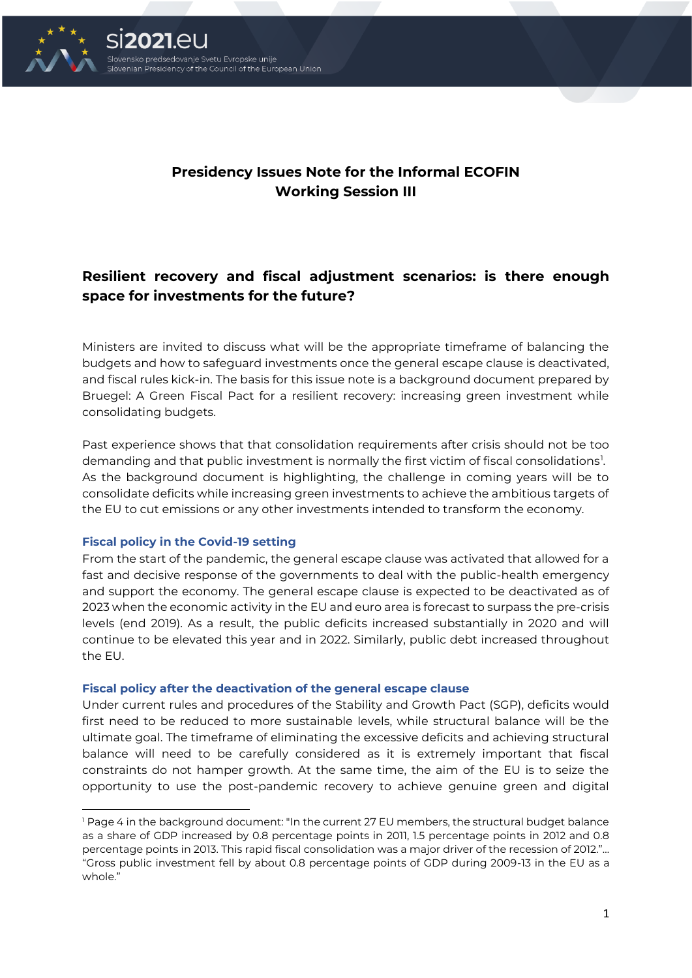

# **Presidency Issues Note for the Informal ECOFIN Working Session III**

# **Resilient recovery and fiscal adjustment scenarios: is there enough space for investments for the future?**

Ministers are invited to discuss what will be the appropriate timeframe of balancing the budgets and how to safeguard investments once the general escape clause is deactivated, and fiscal rules kick-in. The basis for this issue note is a background document prepared by Bruegel: A Green Fiscal Pact for a resilient recovery: increasing green investment while consolidating budgets.

Past experience shows that that consolidation requirements after crisis should not be too demanding and that public investment is normally the first victim of fiscal consolidations $^{\rm l}$ . As the background document is highlighting, the challenge in coming years will be to consolidate deficits while increasing green investments to achieve the ambitious targets of the EU to cut emissions or any other investments intended to transform the economy.

#### **Fiscal policy in the Covid-19 setting**

From the start of the pandemic, the general escape clause was activated that allowed for a fast and decisive response of the governments to deal with the public-health emergency and support the economy. The general escape clause is expected to be deactivated as of 2023 when the economic activity in the EU and euro area is forecast to surpass the pre-crisis levels (end 2019). As a result, the public deficits increased substantially in 2020 and will continue to be elevated this year and in 2022. Similarly, public debt increased throughout the EU.

#### **Fiscal policy after the deactivation of the general escape clause**

Under current rules and procedures of the Stability and Growth Pact (SGP), deficits would first need to be reduced to more sustainable levels, while structural balance will be the ultimate goal. The timeframe of eliminating the excessive deficits and achieving structural balance will need to be carefully considered as it is extremely important that fiscal constraints do not hamper growth. At the same time, the aim of the EU is to seize the opportunity to use the post-pandemic recovery to achieve genuine green and digital

<sup>1</sup> Page 4 in the background document: "In the current 27 EU members, the structural budget balance as a share of GDP increased by 0.8 percentage points in 2011, 1.5 percentage points in 2012 and 0.8 percentage points in 2013. This rapid fiscal consolidation was a major driver of the recession of 2012."… "Gross public investment fell by about 0.8 percentage points of GDP during 2009-13 in the EU as a whole."